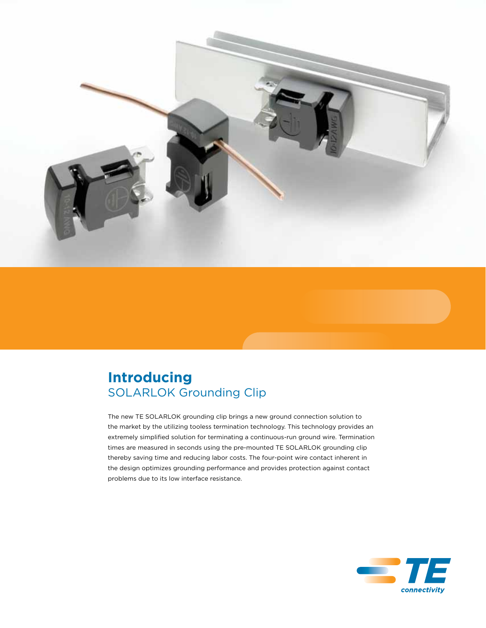

# **Introducing** SOLARLOK Grounding Clip

The new TE SOLARLOK grounding clip brings a new ground connection solution to the market by the utilizing tooless termination technology. This technology provides an extremely simplified solution for terminating a continuous-run ground wire. Termination times are measured in seconds using the pre-mounted TE SOLARLOK grounding clip thereby saving time and reducing labor costs. The four-point wire contact inherent in the design optimizes grounding performance and provides protection against contact problems due to its low interface resistance.